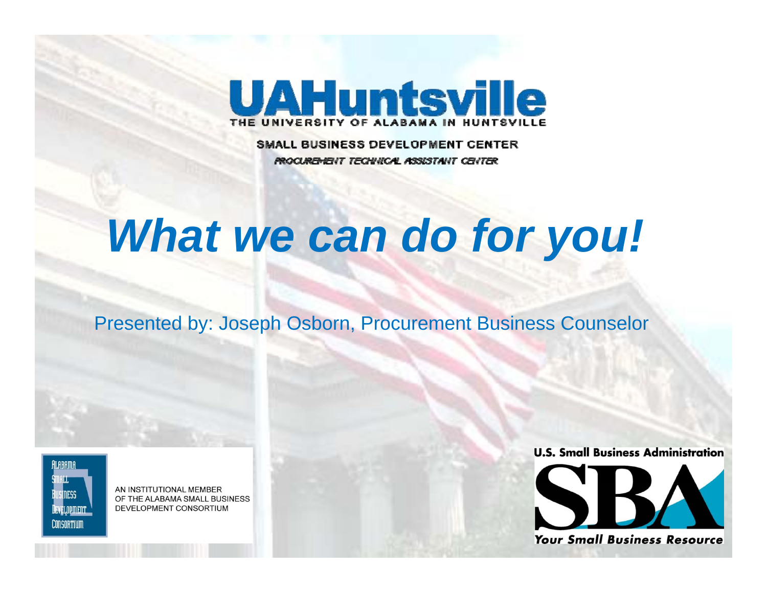

**SMALL BUSINESS DEVELOPMENT CENTER PROCUREMENT TECHNICAL ASSISTANT CENTER** 

# *What we can do for you!*

Presented by: Joseph Osborn, Procurement Business Counselor

IEVEI NDMENT **CONSORTIUM** 

AN INSTITUTIONAL MEMBER OF THE ALABAMA SMALL BUSINESS DEVELOPMENT CONSORTIUM

**U.S. Small Business Administration** 



**Your Small Business Resource**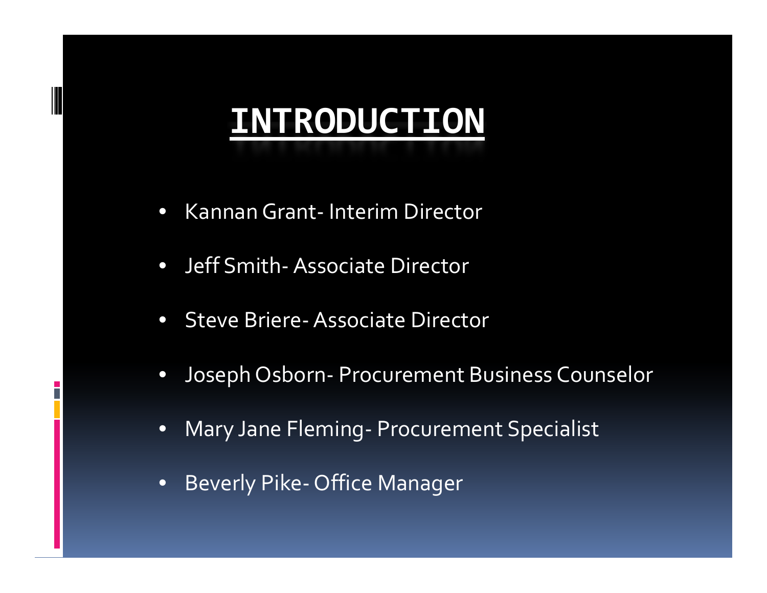# **INTRODUCTION**

- $\bullet$ KannanGrant ‐ Interim Director
- Jeff Smith-Associate Director
- $\bullet$ ● Steve Briere- Associate Director
- $\bullet$  Joseph Osborn ‐ Procurement Business Counselor
- • Mary Jane Fleming ‐ Procurement Specialist
- • Beverly Pike ‐ Office Manager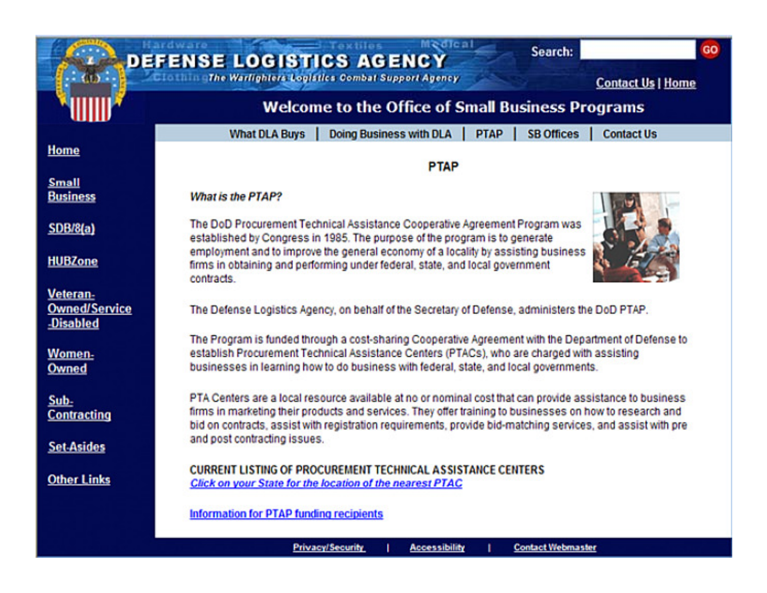| <b>Medical</b><br>Hardware<br>GO<br>Search:<br><b>DEFENSE LOGISTICS AGENCY</b><br>CD <sup>2</sup><br><b>Cloth The Warlighters Logistics Combat Support Agency</b> |                                                                                                                                                                                                                                                                                                                                      |
|-------------------------------------------------------------------------------------------------------------------------------------------------------------------|--------------------------------------------------------------------------------------------------------------------------------------------------------------------------------------------------------------------------------------------------------------------------------------------------------------------------------------|
|                                                                                                                                                                   | <b>Contact Us   Home</b><br><b>Welcome to the Office of Small Business Programs</b>                                                                                                                                                                                                                                                  |
| Home                                                                                                                                                              | <b>What DLA Buys</b><br><b>Doing Business with DLA</b><br><b>PTAP</b><br><b>SB Offices</b><br><b>Contact Us</b><br><b>PTAP</b>                                                                                                                                                                                                       |
| <b>Small</b><br><b>Business</b>                                                                                                                                   | What is the PTAP?                                                                                                                                                                                                                                                                                                                    |
| <b>SDB/8(a)</b>                                                                                                                                                   | The DoD Procurement Technical Assistance Cooperative Agreement Program was<br>established by Congress in 1985. The purpose of the program is to generate                                                                                                                                                                             |
| <b>HUBZone</b>                                                                                                                                                    | employment and to improve the general economy of a locality by assisting business<br>firms in obtaining and performing under federal, state, and local government<br>contracts.                                                                                                                                                      |
| Veteran-<br><b>Owned/Service</b><br><b>Disabled</b>                                                                                                               | The Defense Logistics Agency, on behalf of the Secretary of Defense, administers the DoD PTAP.                                                                                                                                                                                                                                       |
| Women-<br>Owned                                                                                                                                                   | The Program is funded through a cost-sharing Cooperative Agreement with the Department of Defense to<br>establish Procurement Technical Assistance Centers (PTACs), who are charged with assisting<br>businesses in learning how to do business with federal, state, and local governments.                                          |
| Sub-<br><b>Contracting</b>                                                                                                                                        | PTA Centers are a local resource available at no or nominal cost that can provide assistance to business<br>firms in marketing their products and services. They offer training to businesses on how to research and<br>bid on contracts, assist with registration requirements, provide bid-matching services, and assist with pre- |
| <b>Set-Asides</b>                                                                                                                                                 | and post contracting issues.                                                                                                                                                                                                                                                                                                         |
| <b>Other Links</b>                                                                                                                                                | <b>CURRENT LISTING OF PROCUREMENT TECHNICAL ASSISTANCE CENTERS</b><br>Click on your State for the location of the nearest PTAC                                                                                                                                                                                                       |
|                                                                                                                                                                   | Information for PTAP funding recipients                                                                                                                                                                                                                                                                                              |

**Privacy/Security** 

**Accessibility** 

т

ı.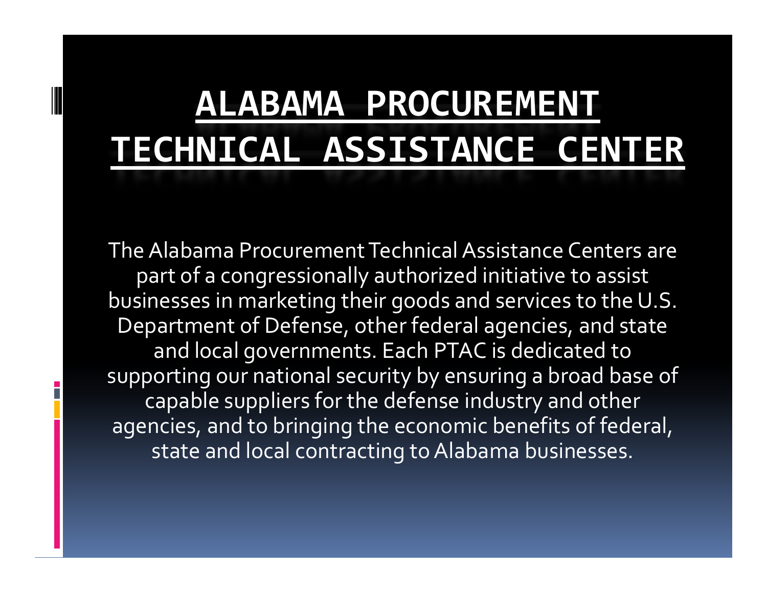# **ALABAMA PROCUREMENT TECHNICAL ASSISTANCE CENTER**

The Alabama Procurement Technical Assistance Centers are par<sup>t</sup> of <sup>a</sup> congressionally authorized initiative to assist businesses in marketing their goods and services to the U.S. Department of Defense, other federal agencies, and state and local governments. Each PTAC is dedicated to supporting our national security by ensuring <sup>a</sup> broad base of capable suppliers for the defense industry and other agencies, and to bringing the economic benefits of federal, state and local contracting to Alabama businesses.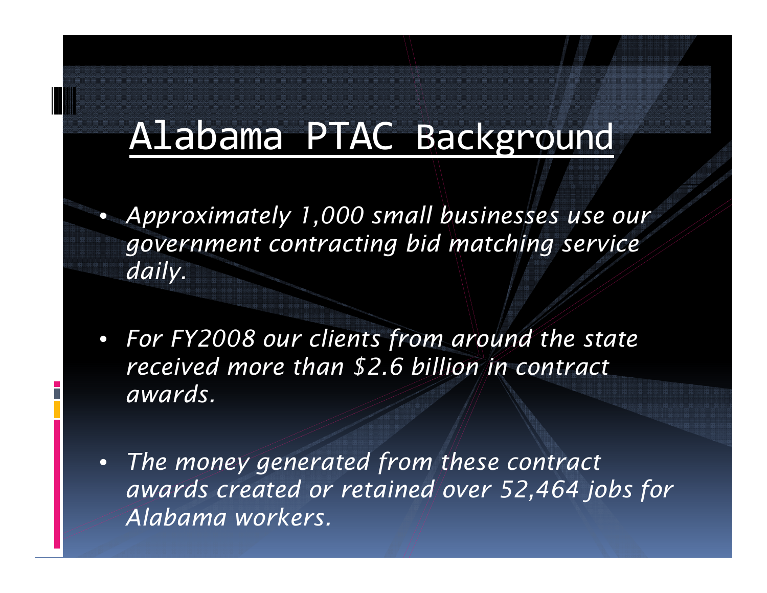#### Alabama PTAC Background

 $\bullet$ 

- *Approximately 1,000 small businesses use our government contracting bid matching service daily.*
- $\bullet$  *F FY2008 li <sup>t</sup> f d th <sup>t</sup> <sup>t</sup> For FY2008 our clients from around the state received more than \$2.6 billion in contract awards.*
- • *The money generated from these contract award d i d 52 464 j b f ds created or retained over 52,464 jobs for Alabama workers.*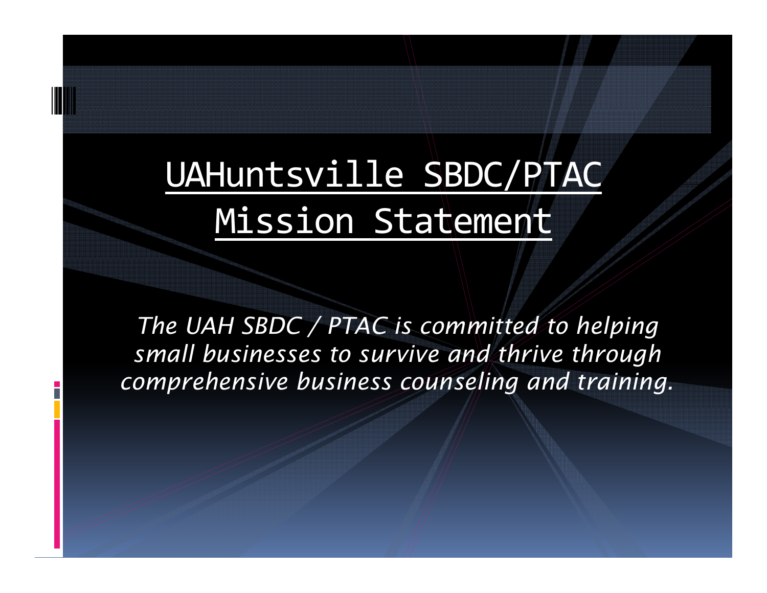# UAHuntsville SBDC/PTAC Mission Statement

*The UAH SBDC / PTAC is committed to helping small businesses to survive and thrive through comprehensive business counseling and training.*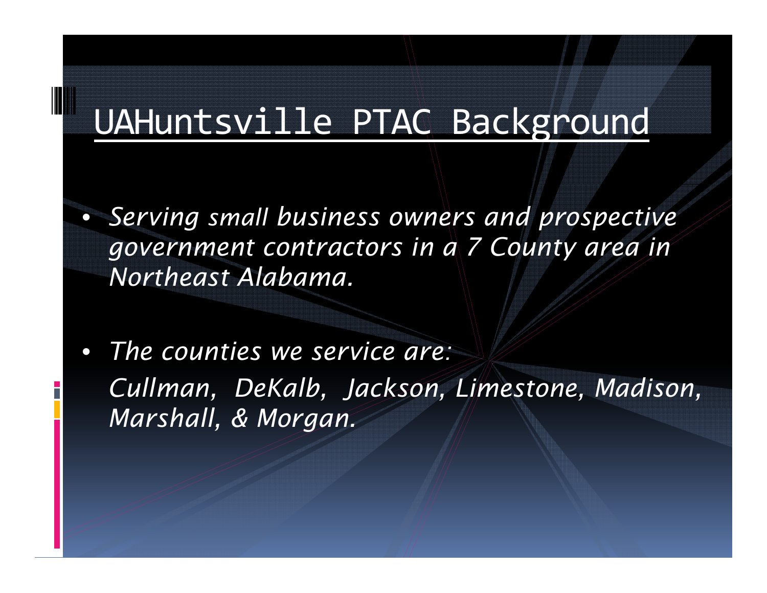#### UAHuntsville PTAC Background

 $\bullet$  *Serving small business owners and prospective g y overnment contractors in a 7 County area in Northeast Alabama.*

 $\bullet$  *The counties we service are: Cullman, DeKalb, Jackson, Limestone, Madison, Marsh ll a , & Morgan.*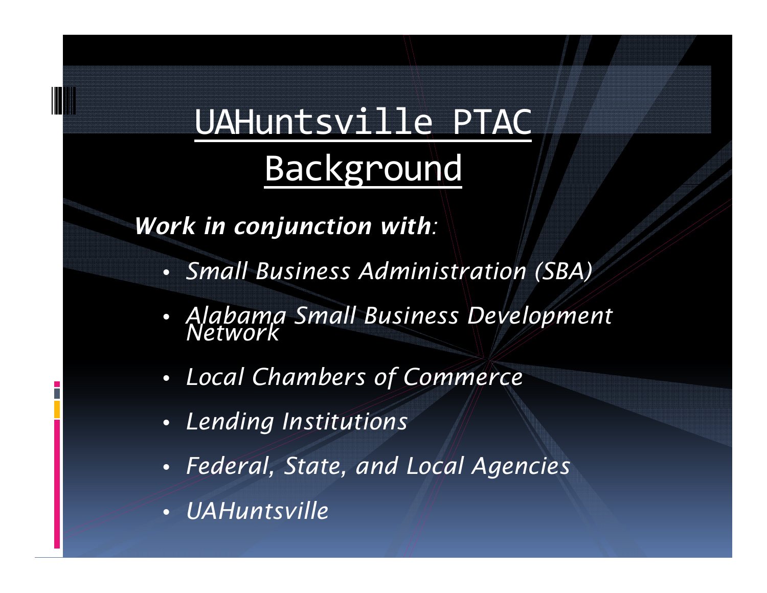# UAHuntsville PTAC Background

*Work in conjunction with:*

- *Small Business Administration (SBA)*
- *Alabama Small Business Development Network*
- *Local Chambers of Commerce*
- *Lending Institutions*
- $\bullet$ *Federal, State, and Local Agencies*
- *UAHuntsville*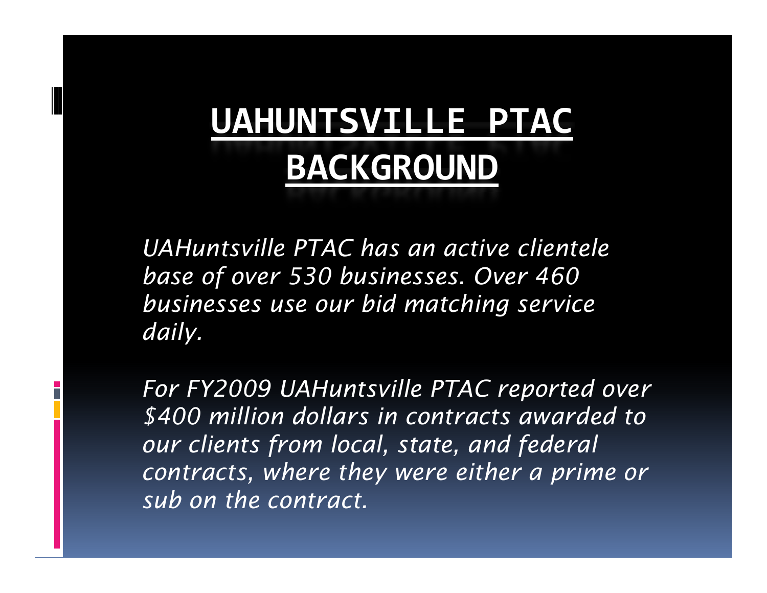# **UAHUNTSVILLE PTAC BACKGROUND**

*UAHuntsville PTAC has an active clientelebase of over 530 businesses. Over 460 businesses use our bid matching service daily .*

*For FY2009 UAHuntsville PTAC reported over \$400 illi d ll i d d million ollars i n contracts awar ed to our clients from local, state, and federal contracts, where they were either a prime or sub on the contract.*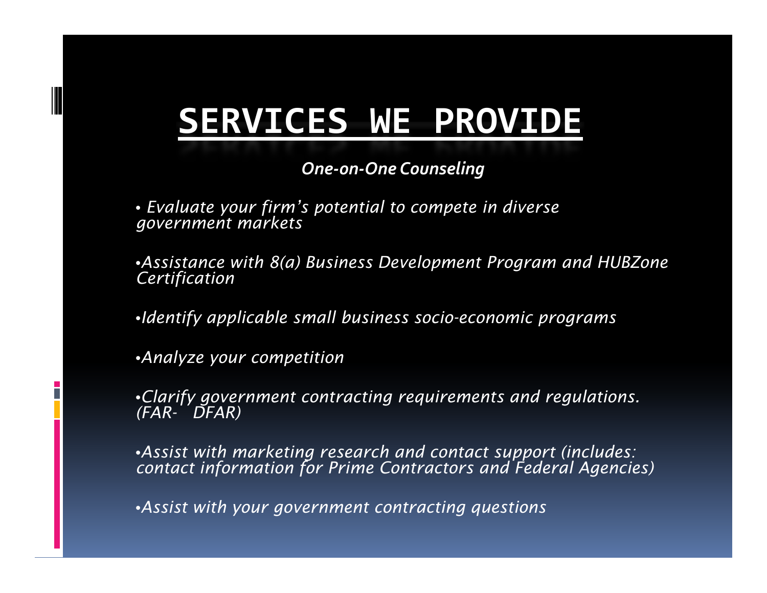### **SERVICES WE PROVIDE**

*One‐on‐One Counseling*

• *Evaluate your firm's potential to compete in diverse government markets*

•Assistance with 8(a) Business Development Program and HUBZone<br>Certification

•*Identify applicable small business socio-economic programs*

•*Analyze your competition*

•*Clarify government contracting requirements and regulations. (FAR- DFAR)* 

•*Assist with marketing research and contact support (includes: contact information for Prime Contractors and Federal Agencies)*

•*Assist with your government contracting questions*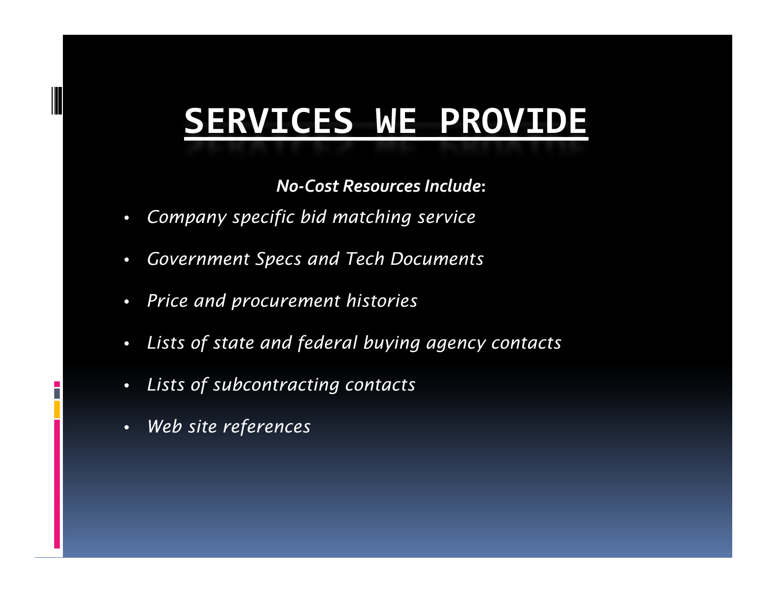### **SERVICES WE PROVIDE**

*No‐Cost Resources Include* **:**

- $\bullet$ *Company specific bid matching service*
- $\bullet$ *Government Specs and Tech Documents*
- $\bullet$ *Price and procurement histories*
- •*Lists of state and federal buying agency contacts*
- $\bullet$ *Lists of subcontracting contacts*
- •*Web site references*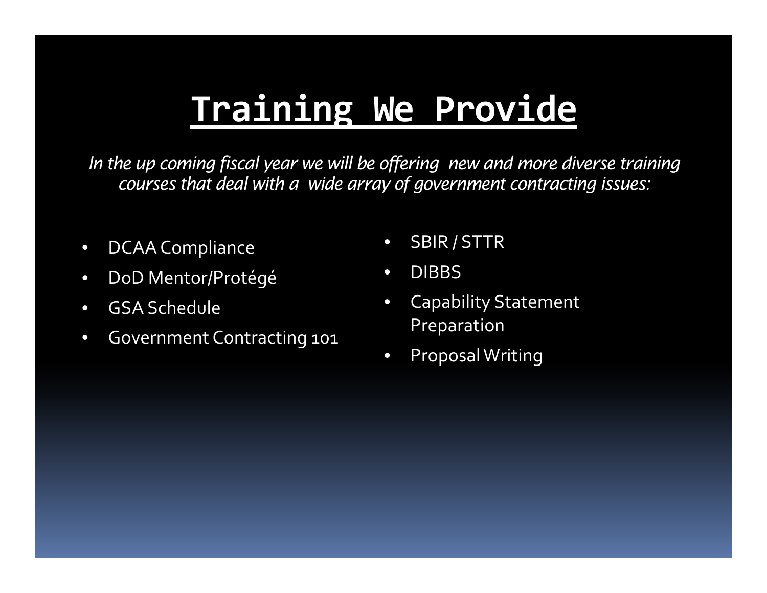## **Training We Provide**

In the up coming fiscal year we will be offering new and more diverse training *courses that deal with a wide array of government contracting issues:*

- $\bullet$ DCAA Compliance • SBIR / STTR
- $\bullet$ DoD Mentor/Protégé
- $\bullet$ GSA Schedule
- Government Contracting 101 Preparation
- 
- $\bullet$ • DIBBS
- $\bullet$ Capability Statement
- $\bullet$ ProposalWriting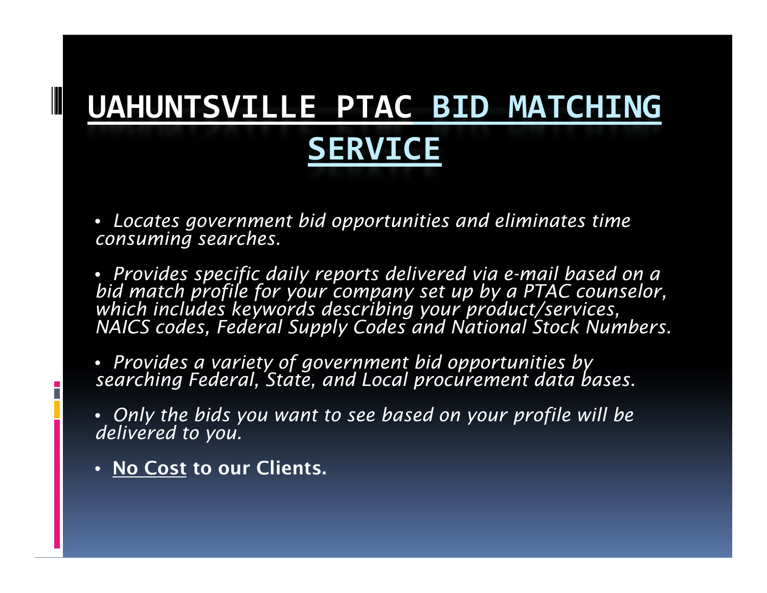### **UAHUNTSVILLE PTAC BID MATCHING SERVICE**

• *Locates government bid opportunities and eliminates time consuming searches.*

• *Provides specific daily reports delivered via e-mail based on a bid match profile for your company set up by a PTAC counselor, which includes keywords describing your product/services,*  NAICS codes, Federal Supply Codes and National Stock Numbers.

• *Provides a variety of government bid opportunities by searching Federal, State, and Local procurement data bases.*

• Only the bids you want to see based on your profile will be<br>delivered to you.

• **No Cost to our Clients.**